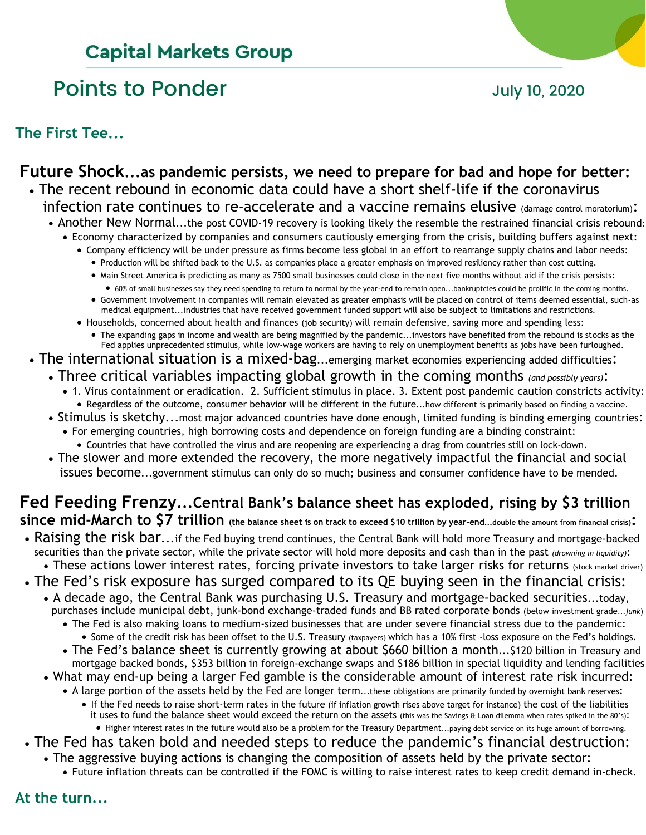# **Capital Markets Group**

# Points to Ponder and Tuly 10, 2020

**The First Tee...**

## **Future Shock...as pandemic persists, we need to prepare for bad and hope for better:** • The recent rebound in economic data could have a short shelf-life if the coronavirus

- infection rate continues to re-accelerate and a vaccine remains elusive (damage control moratorium):
- Another New Normal...the post COVID-19 recovery is looking likely the resemble the restrained financial crisis rebound: • Economy characterized by companies and consumers cautiously emerging from the crisis, building buffers against next:
	- Company efficiency will be under pressure as firms become less global in an effort to rearrange supply chains and labor needs:
		- Production will be shifted back to the U.S. as companies place a greater emphasis on improved resiliency rather than cost cutting.
		- Main Street America is predicting as many as 7500 small businesses could close in the next five months without aid if the crisis persists:
			- 60% of small businesses say they need spending to return to normal by the year-end to remain open...bankruptcies could be prolific in the coming months.
		- Government involvement in companies will remain elevated as greater emphasis will be placed on control of items deemed essential, such-as medical equipment...industries that have received government funded support will also be subject to limitations and restrictions.
	- Households, concerned about health and finances (job security) will remain defensive, saving more and spending less:
		- The expanding gaps in income and wealth are being magnified by the pandemic...investors have benefited from the rebound is stocks as the Fed applies unprecedented stimulus, while low-wage workers are having to rely on unemployment benefits as jobs have been furloughed.
- The international situation is a mixed-bag...emerging market economies experiencing added difficulties:
	- Three critical variables impacting global growth in the coming months *(and possibly years)*:
		- 1. Virus containment or eradication. 2. Sufficient stimulus in place. 3. Extent post pandemic caution constricts activity: • Regardless of the outcome, consumer behavior will be different in the future...how different is primarily based on finding a vaccine.
	- Stimulus is sketchy...most major advanced countries have done enough, limited funding is binding emerging countries: • For emerging countries, high borrowing costs and dependence on foreign funding are a binding constraint:
		- Countries that have controlled the virus and are reopening are experiencing a drag from countries still on lock-down.
	- The slower and more extended the recovery, the more negatively impactful the financial and social issues become...government stimulus can only do so much; business and consumer confidence have to be mended.

# **Fed Feeding Frenzy...Central Bank's balance sheet has exploded, rising by \$3 trillion since mid-March to \$7 trillion (the balance sheet is on track to exceed \$10 trillion by year-end...double the amount from financial crisis):**

- Raising the risk bar...if the Fed buying trend continues, the Central Bank will hold more Treasury and mortgage-backed securities than the private sector, while the private sector will hold more deposits and cash than in the past *(drowning in liquidity)*:
	- These actions lower interest rates, forcing private investors to take larger risks for returns (stock market driver)
- The Fed's risk exposure has surged compared to its QE buying seen in the financial crisis:
	- A decade ago, the Central Bank was purchasing U.S. Treasury and mortgage-backed securities...today, purchases include municipal debt, junk-bond exchange-traded funds and BB rated corporate bonds (below investment grade...*junk*)
		- The Fed is also making loans to medium-sized businesses that are under severe financial stress due to the pandemic: • Some of the credit risk has been offset to the U.S. Treasury (taxpayers) which has a 10% first -loss exposure on the Fed's holdings.
		- The Fed's balance sheet is currently growing at about \$660 billion a month...\$120 billion in Treasury and mortgage backed bonds, \$353 billion in foreign-exchange swaps and \$186 billion in special liquidity and lending facilities
	- What may end-up being a larger Fed gamble is the considerable amount of interest rate risk incurred:
		- A large portion of the assets held by the Fed are longer term...these obligations are primarily funded by overnight bank reserves:
			- If the Fed needs to raise short-term rates in the future (if inflation growth rises above target for instance) the cost of the liabilities it uses to fund the balance sheet would exceed the return on the assets (this was the Savings & Loan dilemma when rates spiked in the 80's): • Higher interest rates in the future would also be a problem for the Treasury Department...paying debt service on its huge amount of borrowing.
- The Fed has taken bold and needed steps to reduce the pandemic's financial destruction:
- The aggressive buying actions is changing the composition of assets held by the private sector:
	- Future inflation threats can be controlled if the FOMC is willing to raise interest rates to keep credit demand in-check.